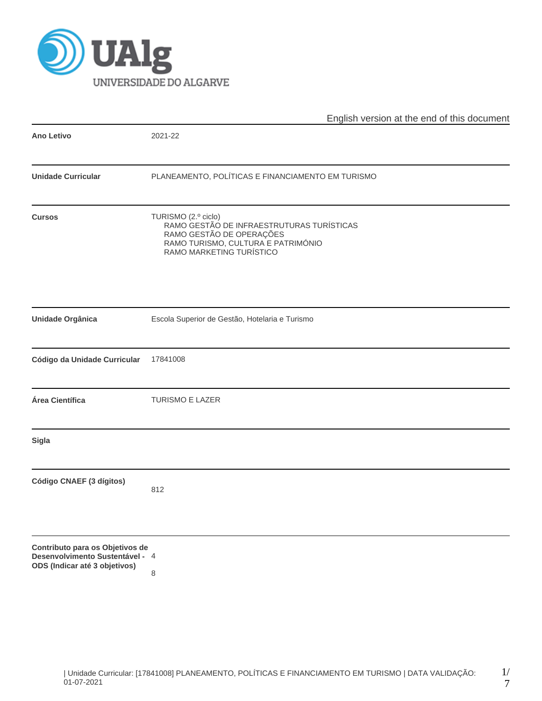

|                                                                                                     | English version at the end of this document                                                                                                                    |  |  |  |  |  |  |
|-----------------------------------------------------------------------------------------------------|----------------------------------------------------------------------------------------------------------------------------------------------------------------|--|--|--|--|--|--|
| <b>Ano Letivo</b>                                                                                   | 2021-22                                                                                                                                                        |  |  |  |  |  |  |
| <b>Unidade Curricular</b>                                                                           | PLANEAMENTO, POLÍTICAS E FINANCIAMENTO EM TURISMO                                                                                                              |  |  |  |  |  |  |
| <b>Cursos</b>                                                                                       | TURISMO (2.º ciclo)<br>RAMO GESTÃO DE INFRAESTRUTURAS TURÍSTICAS<br>RAMO GESTÃO DE OPERAÇÕES<br>RAMO TURISMO, CULTURA E PATRIMÓNIO<br>RAMO MARKETING TURÍSTICO |  |  |  |  |  |  |
| <b>Unidade Orgânica</b>                                                                             | Escola Superior de Gestão, Hotelaria e Turismo                                                                                                                 |  |  |  |  |  |  |
| Código da Unidade Curricular                                                                        | 17841008                                                                                                                                                       |  |  |  |  |  |  |
| Área Científica                                                                                     | <b>TURISMO E LAZER</b>                                                                                                                                         |  |  |  |  |  |  |
| <b>Sigla</b>                                                                                        |                                                                                                                                                                |  |  |  |  |  |  |
| Código CNAEF (3 dígitos)                                                                            | 812                                                                                                                                                            |  |  |  |  |  |  |
| Contributo para os Objetivos de<br>Desenvolvimento Sustentável - 4<br>ODS (Indicar até 3 objetivos) | 8                                                                                                                                                              |  |  |  |  |  |  |

1/ 7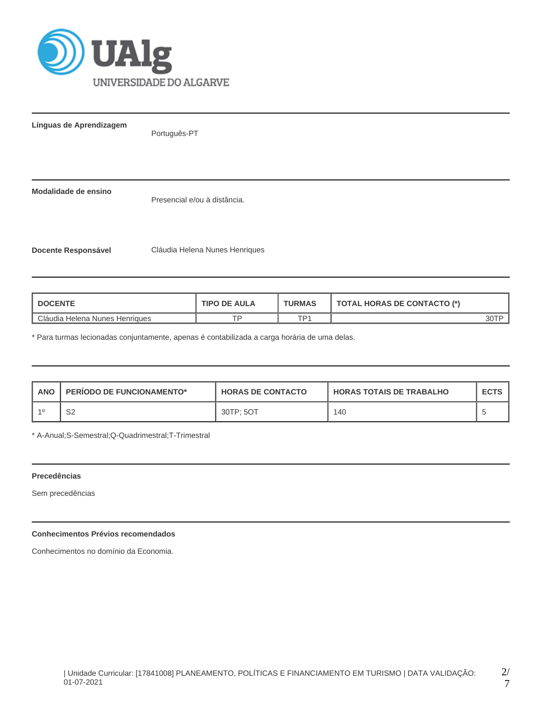

**Línguas de Aprendizagem**

Português-PT

**Modalidade de ensino**

Presencial e/ou à distância.

**Docente Responsável** Cláudia Helena Nunes Henriques

| <b>DOCENTE</b>                        | <b>TIPO DE AULA</b> | <b>TURMAS</b>   | <b>TOTAL HORAS DE CONTACTO (*)</b> |  |
|---------------------------------------|---------------------|-----------------|------------------------------------|--|
| <b>Cláudia Helena Nunes Henriques</b> | ⊤□                  | TD <sub>1</sub> |                                    |  |

\* Para turmas lecionadas conjuntamente, apenas é contabilizada a carga horária de uma delas.

| <b>ANO</b> | <b>PERIODO DE FUNCIONAMENTO*</b> | <b>HORAS DE CONTACTO</b> | <b>I HORAS TOTAIS DE TRABALHO</b> | <b>ECTS</b> |
|------------|----------------------------------|--------------------------|-----------------------------------|-------------|
| $-4C$      | S2                               | 30TP: 5OT                | 140                               |             |

\* A-Anual;S-Semestral;Q-Quadrimestral;T-Trimestral

#### **Precedências**

Sem precedências

# **Conhecimentos Prévios recomendados**

Conhecimentos no domínio da Economia.

7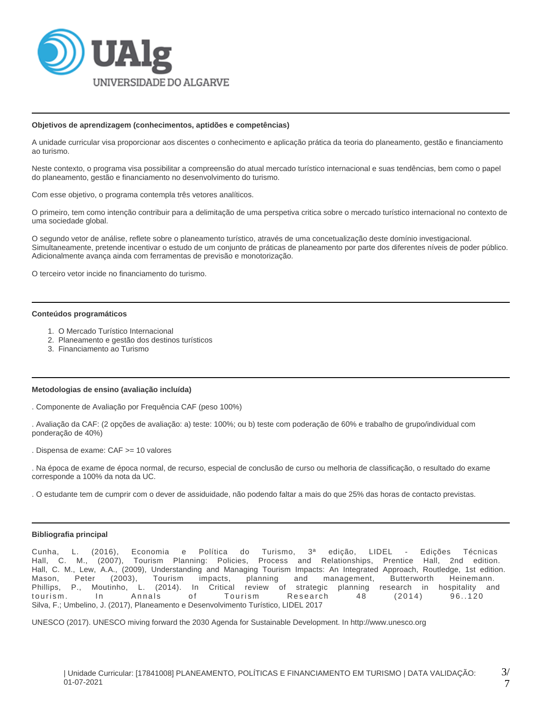

#### **Objetivos de aprendizagem (conhecimentos, aptidões e competências)**

A unidade curricular visa proporcionar aos discentes o conhecimento e aplicação prática da teoria do planeamento, gestão e financiamento ao turismo.

Neste contexto, o programa visa possibilitar a compreensão do atual mercado turístico internacional e suas tendências, bem como o papel do planeamento, gestão e financiamento no desenvolvimento do turismo.

Com esse objetivo, o programa contempla três vetores analíticos.

O primeiro, tem como intenção contribuir para a delimitação de uma perspetiva critica sobre o mercado turístico internacional no contexto de uma sociedade global.

O segundo vetor de análise, reflete sobre o planeamento turístico, através de uma concetualização deste domínio investigacional. Simultaneamente, pretende incentivar o estudo de um conjunto de práticas de planeamento por parte dos diferentes níveis de poder público. Adicionalmente avança ainda com ferramentas de previsão e monotorização.

O terceiro vetor incide no financiamento do turismo.

#### **Conteúdos programáticos**

- 1. O Mercado Turístico Internacional
- 2. Planeamento e gestão dos destinos turísticos
- 3. Financiamento ao Turismo

#### **Metodologias de ensino (avaliação incluída)**

. Componente de Avaliação por Frequência CAF (peso 100%)

. Avaliação da CAF: (2 opções de avaliação: a) teste: 100%; ou b) teste com poderação de 60% e trabalho de grupo/individual com ponderação de 40%)

. Dispensa de exame: CAF >= 10 valores

. Na época de exame de época normal, de recurso, especial de conclusão de curso ou melhoria de classificação, o resultado do exame corresponde a 100% da nota da UC.

. O estudante tem de cumprir com o dever de assiduidade, não podendo faltar a mais do que 25% das horas de contacto previstas.

#### **Bibliografia principal**

Cunha, L. (2016), Economia e Política do Turismo, 3ª edição, LIDEL - Edições Técnicas Hall, C. M., (2007), Tourism Planning: Policies, Process and Relationships, Prentice Hall, 2nd edition. Hall, C. M., Lew, A.A., (2009), Understanding and Managing Tourism Impacts: An Integrated Approach, Routledge, 1st edition. Mason, Peter (2003), Tourism impacts, planning and management, Butterworth Heinemann.<br>Phillips, P., Moutinho, L. (2014). In Critical review of strategic planning research in hospitality an Phillips, P., Moutinho, L. (2014). In Critical review of strategic planning research in hospitality and tourism. In Annals of Tourism Research 48 (2014) 96..120 Silva, F.; Umbelino, J. (2017), Planeamento e Desenvolvimento Turístico, LIDEL 2017

UNESCO (2017). UNESCO miving forward the 2030 Agenda for Sustainable Development. In http://www.unesco.org

7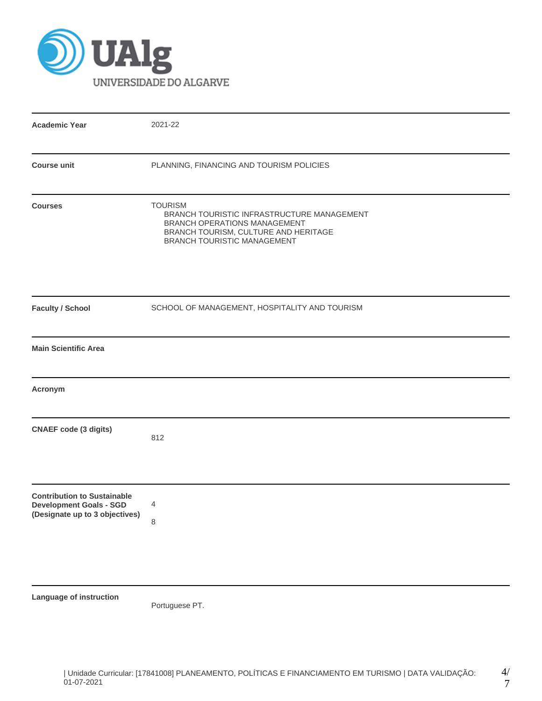

| <b>Academic Year</b>                                                                                   | 2021-22                                                                                                                                                             |  |  |  |  |  |
|--------------------------------------------------------------------------------------------------------|---------------------------------------------------------------------------------------------------------------------------------------------------------------------|--|--|--|--|--|
| <b>Course unit</b>                                                                                     | PLANNING, FINANCING AND TOURISM POLICIES                                                                                                                            |  |  |  |  |  |
| <b>Courses</b>                                                                                         | <b>TOURISM</b><br>BRANCH TOURISTIC INFRASTRUCTURE MANAGEMENT<br>BRANCH OPERATIONS MANAGEMENT<br>BRANCH TOURISM, CULTURE AND HERITAGE<br>BRANCH TOURISTIC MANAGEMENT |  |  |  |  |  |
| <b>Faculty / School</b>                                                                                | SCHOOL OF MANAGEMENT, HOSPITALITY AND TOURISM                                                                                                                       |  |  |  |  |  |
| <b>Main Scientific Area</b>                                                                            |                                                                                                                                                                     |  |  |  |  |  |
| Acronym                                                                                                |                                                                                                                                                                     |  |  |  |  |  |
| <b>CNAEF code (3 digits)</b>                                                                           | 812                                                                                                                                                                 |  |  |  |  |  |
| <b>Contribution to Sustainable</b><br><b>Development Goals - SGD</b><br>(Designate up to 3 objectives) | 4<br>$\,8\,$                                                                                                                                                        |  |  |  |  |  |
| Language of instruction                                                                                |                                                                                                                                                                     |  |  |  |  |  |

Portuguese PT.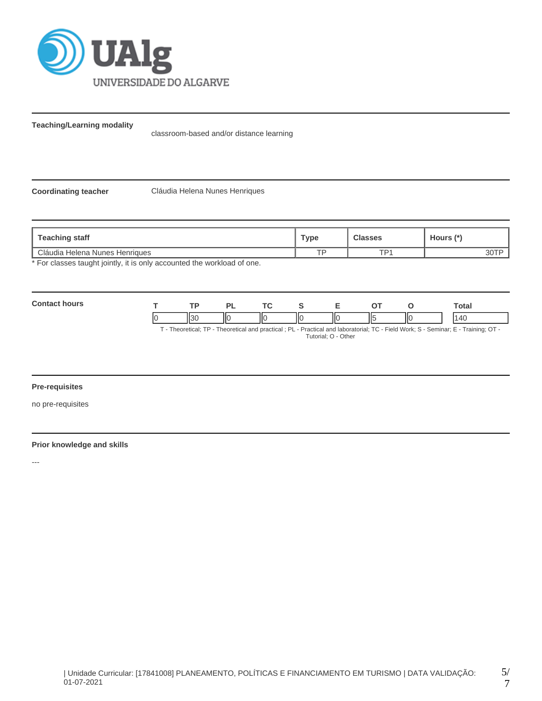

**Teaching/Learning modality**

classroom-based and/or distance learning

**Coordinating teacher** Cláudia Helena Nunes Henriques

| Type | <b>Classes</b>  | Hours (*) |
|------|-----------------|-----------|
| тo   | TD <sub>1</sub> | 30 I      |
|      |                 |           |

For classes taught jointly, it is only accounted the workload of one.

| Cont<br>hours |              | ъ.  | <u>те</u> |   |    |     | Total |
|---------------|--------------|-----|-----------|---|----|-----|-------|
|               | וכוו<br>יכוו | IІC | Ш<br>ΙЮ   | Ш | Н٤ | IІC | ٠Δ٢   |

T - Theoretical; TP - Theoretical and practical ; PL - Practical and laboratorial; TC - Field Work; S - Seminar; E - Training; OT - Tutorial; O - Other

### **Pre-requisites**

no pre-requisites

# **Prior knowledge and skills**

---

5/ 7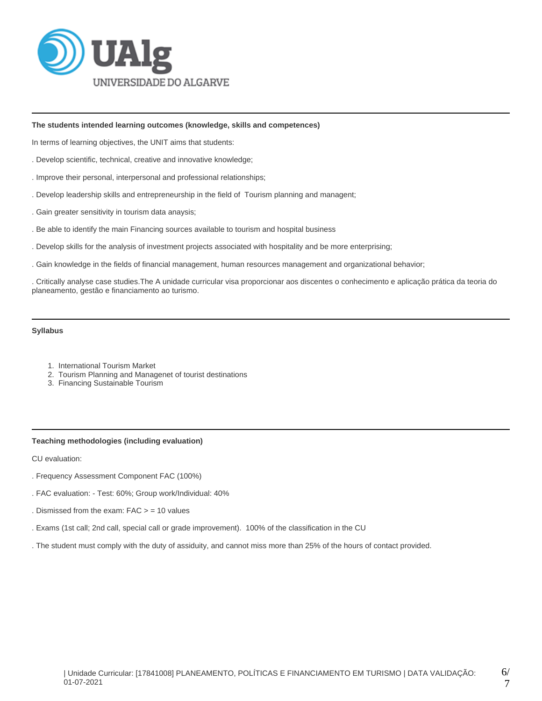

### **The students intended learning outcomes (knowledge, skills and competences)**

In terms of learning objectives, the UNIT aims that students:

- . Develop scientific, technical, creative and innovative knowledge;
- . Improve their personal, interpersonal and professional relationships;
- . Develop leadership skills and entrepreneurship in the field of Tourism planning and managent;
- . Gain greater sensitivity in tourism data anaysis;
- . Be able to identify the main Financing sources available to tourism and hospital business
- . Develop skills for the analysis of investment projects associated with hospitality and be more enterprising;
- . Gain knowledge in the fields of financial management, human resources management and organizational behavior;

. Critically analyse case studies.The A unidade curricular visa proporcionar aos discentes o conhecimento e aplicação prática da teoria do planeamento, gestão e financiamento ao turismo.

## **Syllabus**

- 1. International Tourism Market
- 2. Tourism Planning and Managenet of tourist destinations
- 3. Financing Sustainable Tourism

# **Teaching methodologies (including evaluation)**

CU evaluation:

- . Frequency Assessment Component FAC (100%)
- . FAC evaluation: Test: 60%; Group work/Individual: 40%
- . Dismissed from the exam:  $FAC > = 10$  values
- . Exams (1st call; 2nd call, special call or grade improvement). 100% of the classification in the CU
- . The student must comply with the duty of assiduity, and cannot miss more than 25% of the hours of contact provided.

6/ 7